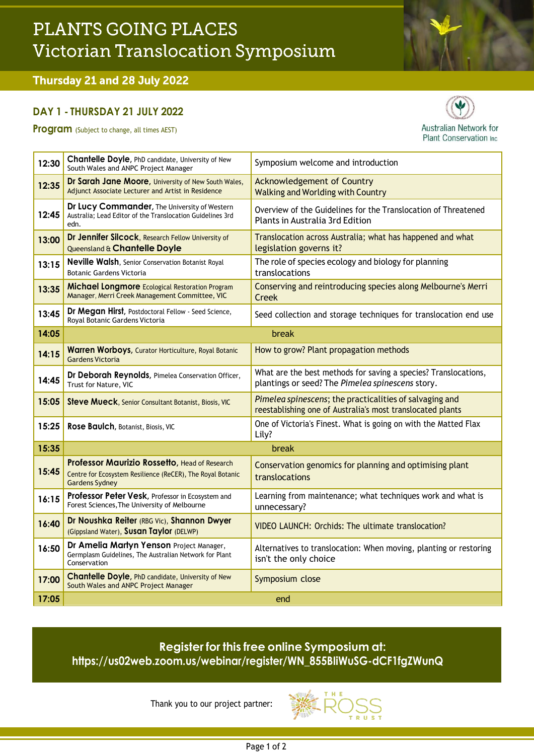# PLANTS GOING PLACES Victorian Translocation Symposium

## Thursday 21 and 28 July 2022

#### **DAY 1 - THURSDAY 21 JULY 2022**

**Program** (Subject to change, all times AEST)



| 12:30 | Chantelle Doyle, PhD candidate, University of New<br>South Wales and ANPC Project Manager                                            | Symposium welcome and introduction                                                                                    |
|-------|--------------------------------------------------------------------------------------------------------------------------------------|-----------------------------------------------------------------------------------------------------------------------|
| 12:35 | Dr Sarah Jane Moore, University of New South Wales,<br>Adjunct Associate Lecturer and Artist in Residence                            | <b>Acknowledgement of Country</b><br><b>Walking and Worlding with Country</b>                                         |
| 12:45 | Dr Lucy Commander, The University of Western<br>Australia; Lead Editor of the Translocation Guidelines 3rd<br>edn.                   | Overview of the Guidelines for the Translocation of Threatened<br>Plants in Australia 3rd Edition                     |
| 13:00 | Dr Jennifer Silcock, Research Fellow University of<br>Queensland & Chantelle Doyle                                                   | Translocation across Australia; what has happened and what<br>legislation governs it?                                 |
| 13:15 | Neville Walsh, Senior Conservation Botanist Royal<br><b>Botanic Gardens Victoria</b>                                                 | The role of species ecology and biology for planning<br>translocations                                                |
| 13:35 | <b>Michael Longmore</b> Ecological Restoration Program<br>Manager, Merri Creek Management Committee, VIC                             | Conserving and reintroducing species along Melbourne's Merri<br><b>Creek</b>                                          |
| 13:45 | Dr Megan Hirst, Postdoctoral Fellow - Seed Science,<br>Royal Botanic Gardens Victoria                                                | Seed collection and storage techniques for translocation end use                                                      |
| 14:05 | break                                                                                                                                |                                                                                                                       |
| 14:15 | Warren Worboys, Curator Horticulture, Royal Botanic<br><b>Gardens Victoria</b>                                                       | How to grow? Plant propagation methods                                                                                |
| 14:45 | Dr Deborah Reynolds, Pimelea Conservation Officer,<br>Trust for Nature, VIC                                                          | What are the best methods for saving a species? Translocations,<br>plantings or seed? The Pimelea spinescens story.   |
| 15:05 | Steve Mueck, Senior Consultant Botanist, Biosis, VIC                                                                                 | Pimelea spinescens; the practicalities of salvaging and<br>reestablishing one of Australia's most translocated plants |
| 15:25 | Rose Baulch, Botanist, Biosis, VIC                                                                                                   | One of Victoria's Finest. What is going on with the Matted Flax<br>Lily?                                              |
| 15:35 |                                                                                                                                      | break                                                                                                                 |
| 15:45 | Professor Maurizio Rossetto, Head of Research<br>Centre for Ecosystem Resilience (ReCER), The Royal Botanic<br><b>Gardens Sydney</b> | Conservation genomics for planning and optimising plant<br>translocations                                             |
| 16:15 | Professor Peter Vesk, Professor in Ecosystem and<br>Forest Sciences, The University of Melbourne                                     | Learning from maintenance; what techniques work and what is<br>unnecessary?                                           |
| 16:40 | Dr Noushka Reiter (RBG Vic), Shannon Dwyer<br>(Gippsland Water), Susan Taylor (DELWP)                                                | VIDEO LAUNCH: Orchids: The ultimate translocation?                                                                    |
| 16:50 | Dr Amelia Martyn Yenson Project Manager,<br>Germplasm Guidelines, The Australian Network for Plant<br>Conservation                   | Alternatives to translocation: When moving, planting or restoring<br>isn't the only choice                            |
| 17:00 | Chantelle Doyle, PhD candidate, University of New<br>South Wales and ANPC Project Manager                                            | Symposium close                                                                                                       |
| 17:05 |                                                                                                                                      | end                                                                                                                   |

## **Register for this free online Symposium at: [https://us02web.zoom.us/webinar/register/WN\\_855BIiWuSG-dCF1fgZWunQ](https://us02web.zoom.us/webinar/register/WN_855BIiWuSG-dCF1fgZWunQ)**

Thank you to our project partner: